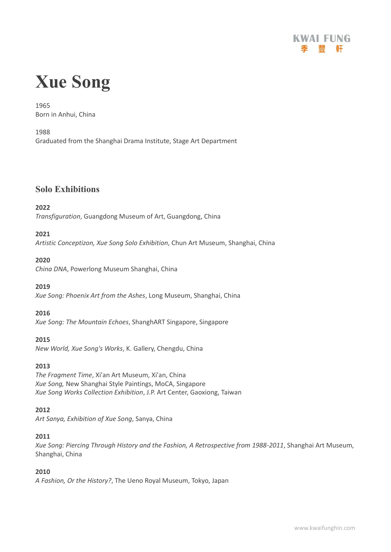

# **Xue Song**

1965 Born in Anhui, China

1988

Graduated from the Shanghai Drama Institute, Stage Art Department

# **Solo Exhibitions**

#### **2022**

*Transfiguration*, Guangdong Museum of Art, Guangdong, China

#### **2021**

*Artistic Conceptizon, Xue Song Solo Exhibition*, Chun Art Museum, Shanghai, China

#### **2020**

*China DNA*, Powerlong Museum Shanghai, China

#### **2019**

*Xue Song: Phoenix Art from the Ashes*, Long Museum, Shanghai, China

#### **2016**

*Xue Song: The Mountain Echoes*, ShanghART Singapore, Singapore

#### **2015**

*New World, Xue Song's Works*, K. Gallery, Chengdu, China

#### **2013**

*The Fragment Time*, Xi'an Art Museum, Xi'an, China *Xue Song,* New Shanghai Style Paintings, MoCA, Singapore *Xue Song Works Collection Exhibition*, J.P. Art Center, Gaoxiong, Taiwan

#### **2012**

*Art Sanya, Exhibition of Xue Song*, Sanya, China

#### **2011**

*Xue Song: Piercing Through History and the Fashion, A Retrospective from 1988-2011*, Shanghai Art Museum, Shanghai, China

#### **2010**

*A Fashion, Or the History?*, The Ueno Royal Museum, Tokyo, Japan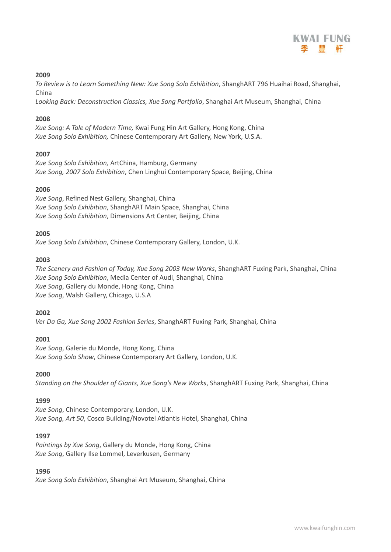

#### **2009**

*To Review is to Learn Something New: Xue Song Solo Exhibition*, ShanghART 796 Huaihai Road, Shanghai, China

*Looking Back: Deconstruction Classics, Xue Song Portfolio*, Shanghai Art Museum, Shanghai, China

#### **2008**

*Xue Song: A Tale of Modern Time,* Kwai Fung Hin Art Gallery, Hong Kong, China *Xue Song Solo Exhibition,* Chinese Contemporary Art Gallery, New York, U.S.A.

#### **2007**

*Xue Song Solo Exhibition,* ArtChina, Hamburg, Germany *Xue Song, 2007 Solo Exhibition*, Chen Linghui Contemporary Space, Beijing, China

#### **2006**

*Xue Song*, Refined Nest Gallery, Shanghai, China *Xue Song Solo Exhibition*, ShanghART Main Space, Shanghai, China *Xue Song Solo Exhibition*, Dimensions Art Center, Beijing, China

#### **2005**

*Xue Song Solo Exhibition*, Chinese Contemporary Gallery, London, U.K.

#### **2003**

*The Scenery and Fashion of Today, Xue Song 2003 New Works*, ShanghART Fuxing Park, Shanghai, China *Xue Song Solo Exhibition*, Media Center of Audi, Shanghai, China *Xue Song*, Gallery du Monde, Hong Kong, China *Xue Song*, Walsh Gallery, Chicago, U.S.A

#### **2002**

*Ver Da Ga, Xue Song 2002 Fashion Series*, ShanghART Fuxing Park, Shanghai, China

#### **2001**

*Xue Song*, Galerie du Monde, Hong Kong, China *Xue Song Solo Show*, Chinese Contemporary Art Gallery, London, U.K.

#### **2000**

*Standing on the Shoulder of Giants, Xue Song's New Works*, ShanghART Fuxing Park, Shanghai, China

#### **1999**

*Xue Song*, Chinese Contemporary, London, U.K. *Xue Song, Art 50*, Cosco Building/Novotel Atlantis Hotel, Shanghai, China

#### **1997**

*Paintings by Xue Song*, Gallery du Monde, Hong Kong, China *Xue Song*, Gallery Ilse Lommel, Leverkusen, Germany

#### **1996**

*Xue Song Solo Exhibition*, Shanghai Art Museum, Shanghai, China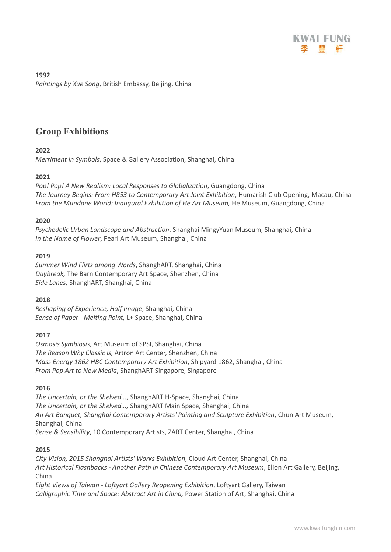

**1992** *Paintings by Xue Song*, British Embassy, Beijing, China

# **Group Exhibitions**

#### **2022**

*Merriment in Symbols*, Space & Gallery Association, Shanghai, China

#### **2021**

*Pop! Pop! A New Realism: Local Responses to Globalization*, Guangdong, China *The Journey Begins: From H853 to Contemporary Art Joint Exhibition*, Humarish Club Opening, Macau, China *From the Mundane World: Inaugural Exhibition of He Art Museum,* He Museum, Guangdong, China

#### **2020**

*Psychedelic Urban Landscape and Abstraction*, Shanghai MingyYuan Museum, Shanghai, China *In the Name of Flower*, Pearl Art Museum, Shanghai, China

#### **2019**

*Summer Wind Flirts among Words*, ShanghART, Shanghai, China *Daybreak,* The Barn Contemporary Art Space, Shenzhen, China *Side Lanes,* ShanghART, Shanghai, China

#### **2018**

*Reshaping of Experience, Half Image*, Shanghai, China *Sense of Paper - Melting Point,* L+ Space, Shanghai, China

#### **2017**

*Osmosis Symbiosis*, Art Museum of SPSI, Shanghai, China *The Reason Why Classic Is,* Artron Art Center, Shenzhen, China *Mass Energy 1862 HBC Contemporary Art Exhibition*, Shipyard 1862, Shanghai, China *From Pop Art to New Media*, ShanghART Singapore, Singapore

#### **2016**

*The Uncertain, or the Shelved...,* ShanghART H-Space, Shanghai, China *The Uncertain, or the Shelved...,* ShanghART Main Space, Shanghai, China *An Art Banquet, Shanghai Contemporary Artists' Painting and Sculpture Exhibition*, Chun Art Museum, Shanghai, China *Sense & Sensibility*, 10 Contemporary Artists, ZART Center, Shanghai, China

#### **2015**

*City Vision, 2015 Shanghai Artists' Works Exhibition*, Cloud Art Center, Shanghai, China *Art Historical Flashbacks - Another Path in Chinese Contemporary Art Museum*, Elion Art Gallery, Beijing, China

*Eight Views of Taiwan - Loftyart Gallery Reopening Exhibition*, Loftyart Gallery, Taiwan *Calligraphic Time and Space: Abstract Art in China,* Power Station of Art, Shanghai, China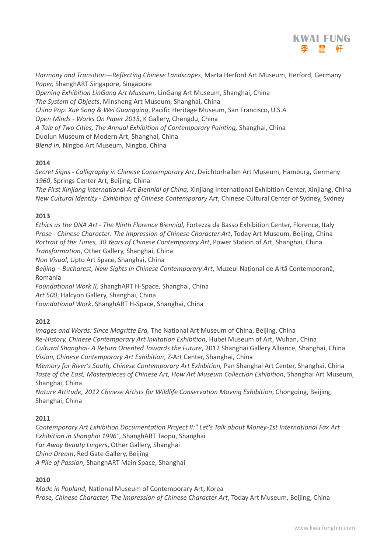

*Harmony and Transition—Reflecting Chinese Landscapes*, Marta Herford Art Museum, Herford, Germany *Paper,* ShanghART Singapore, Singapore *Opening Exhibition LinGang Art Museum*, LinGang Art Museum, Shanghai, China

*The System of Objects*, Minsheng Art Museum, Shanghai, China *China Pop: Xue Song & Wei Guangqing*, Pacific Heritage Museum, San Francisco, U.S.A *Open Minds - Works On Paper 2015*, K Gallery, Chengdu, China *A Tale of Two Cities, The Annual Exhibition of Contemporary Painting,* Shanghai, China Duolun Museum of Modern Art, Shanghai, China *Blend In,* Ningbo Art Museum, Ningbo, China

#### **2014**

*Secret Signs - Calligraphy in Chinese Contemporary Art*, Deichtorhallen Art Museum, Hamburg, Germany *1960*, Springs Center Art, Beijing, China

*The First Xinjiang International Art Biennial of China,* Xinjiang International Exhibition Center, Xinjiang, China *New Cultural Identity - Exhibition of Chinese Contemporary Art*, Chinese Cultural Center of Sydney, Sydney

#### **2013**

*Ethics as the DNA Art - The Ninth Florence Biennial,* Fortezza da Basso Exhibition Center, Florence, Italy *Prose - Chinese Character: The Impression of Chinese Character Art*, Today Art Museum, Beijing, China *Portrait of the Times, 30 Years of Chinese Contemporary Art*, Power Station of Art, Shanghai, China *Transformation*, Other Gallery, Shanghai, China

*Non Visual*, Upto Art Space, Shanghai, China

*Beijing – Bucharest, New Sights in Chinese Contemporary Art*, Muzeul Național de Artă Contemporană, Romania

*Foundational Work II,* ShanghART H-Space, Shanghai, China

*Art 500*, Halcyon Gallery, Shanghai, China

*Foundational Work*, ShanghART H-Space, Shanghai, China

#### **2012**

*Images and Words: Since Magritte Era,* The National Art Museum of China, Beijing, China *Re-History, Chinese Contemporary Art Invitation Exhibition*, Hubei Museum of Art, Wuhan, China *Cultural Shanghai- A Return Oriented Towards the Future*, 2012 Shanghai Gallery Alliance, Shanghai, China *Vision, Chinese Contemporary Art Exhibition*, Z-Art Center, Shanghai, China

*Memory for River's South, Chinese Contemporary Art Exhibition,* Pan Shanghai Art Center, Shanghai, China *Taste of the East, Masterpieces of Chinese Art, How Art Museum Collection Exhibition*, Shanghai Art Museum, Shanghai, China

*Nature Attitude, 2012 Chinese Artists for Wildlife Conservation Moving Exhibition*, Chongqing, Beijing, Shanghai, China

#### **2011**

*Contemporary Art Exhibition Documentation Project II:" Let's Talk about Money-1st International Fax Art Exhibition in Shanghai 1996",* ShanghART Taopu, Shanghai *Far Away Beauty Lingers*, Other Gallery, Shanghai *China Dream*, Red Gate Gallery, Beijing *A Pile of Passion*, ShanghART Main Space, Shanghai

#### **2010**

*Made in Popland*, National Museum of Contemporary Art, Korea *Prose, Chinese Character, The Impression of Chinese Character Art*, Today Art Museum, Beijing, China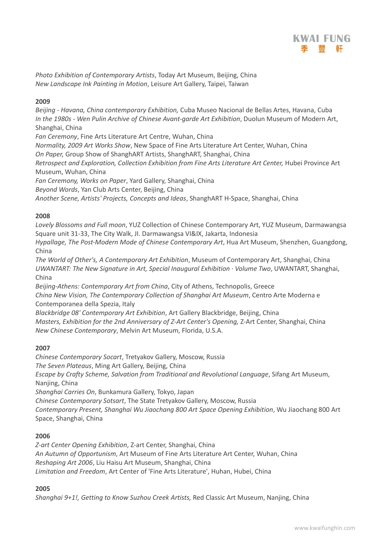

*Photo Exhibition of Contemporary Artists*, Today Art Museum, Beijing, China *New Landscape Ink Painting in Motion*, Leisure Art Gallery, Taipei, Taiwan

#### **2009**

*Beijing - Havana, China contemporary Exhibition,* Cuba Museo Nacional de Bellas Artes, Havana, Cuba *In the 1980s - Wen Pulin Archive of Chinese Avant-garde Art Exhibition*, Duolun Museum of Modern Art, Shanghai, China

*Fan Ceremony*, Fine Arts Literature Art Centre, Wuhan, China

*Normality, 2009 Art Works Show*, New Space of Fine Arts Literature Art Center, Wuhan, China *On Paper,* Group Show of ShanghART Artists, ShanghART, Shanghai, China

*Retrospect and Exploration, Collection Exhibition from Fine Arts Literature Art Center,* Hubei Province Art Museum, Wuhan, China

*Fan Ceremony, Works on Paper*, Yard Gallery, Shanghai, China

*Beyond Words*, Yan Club Arts Center, Beijing, China

*Another Scene, Artists' Projects, Concepts and Ideas*, ShanghART H-Space, Shanghai, China

#### **2008**

*Lovely Blossoms and Full moon*, YUZ Collection of Chinese Contemporary Art, YUZ Museum, Darmawangsa Square unit 31-33, The City Walk, JI. Darmawangsa VI&IX, Jakarta, Indonesia

*Hypallage, The Post-Modern Mode of Chinese Contemporary Art*, Hua Art Museum, Shenzhen, Guangdong, China

*The World of Other's, A Contemporary Art Exhibition*, Museum of Contemporary Art, Shanghai, China *UWANTART: The New Signature in Art, Special Inaugural Exhibition · Volume Two*, UWANTART, Shanghai, China

*Beijing-Athens: Contemporary Art from China*, City of Athens, Technopolis, Greece *China New Vision, The Contemporary Collection of Shanghai Art Museum*, Centro Arte Moderna e

Contemporanea della Spezia, Italy

*Blackbridge 08' Contemporary Art Exhibition*, Art Gallery Blackbridge, Beijing, China *Masters, Exhibition for the 2nd Anniversary of Z-Art Center's Opening,* Z-Art Center, Shanghai, China *New Chinese Contemporary*, Melvin Art Museum, Florida, U.S.A.

#### **2007**

*Chinese Contemporary Socart*, Tretyakov Gallery, Moscow, Russia *The Seven Plateaus*, Ming Art Gallery, Beijing, China *Escape by Crafty Scheme, Salvation from Traditional and Revolutional Language*, Sifang Art Museum, Nanjing, China *Shanghai Carries On*, Bunkamura Gallery, Tokyo, Japan *Chinese Contemporary Sotsart*, The State Tretyakov Gallery, Moscow, Russia *Contemporary Present, Shanghai Wu Jiaochang 800 Art Space Opening Exhibition*, Wu Jiaochang 800 Art

Space, Shanghai, China

#### **2006**

*Z-art Center Opening Exhibition*, Z-art Center, Shanghai, China *An Autumn of Opportunism*, Art Museum of Fine Arts Literature Art Center, Wuhan, China *Reshaping Art 2006*, Liu Haisu Art Museum, Shanghai, China *Limitation and Freedom*, Art Center of 'Fine Arts Literature', Huhan, Hubei, China

#### **2005**

*Shanghai 9+1!, Getting to Know Suzhou Creek Artists,* Red Classic Art Museum, Nanjing, China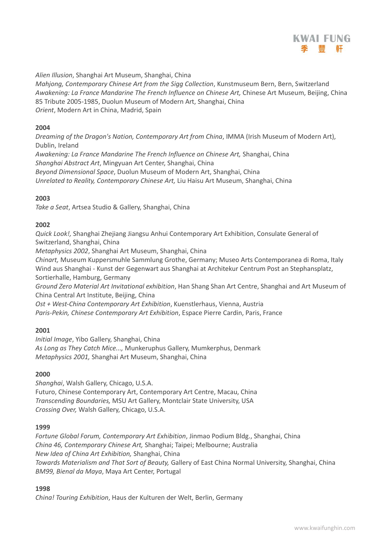

*Alien Illusion*, Shanghai Art Museum, Shanghai, China

*Mahjong, Contemporary Chinese Art from the Sigg Collection*, Kunstmuseum Bern, Bern, Switzerland *Awakening: La France Mandarine The French Influence on Chinese Art,* Chinese Art Museum, Beijing, China 85 Tribute 2005-1985, Duolun Museum of Modern Art, Shanghai, China *Orient*, Modern Art in China, Madrid, Spain

#### **2004**

*Dreaming of the Dragon's Nation, Contemporary Art from China*, IMMA (Irish Museum of Modern Art), Dublin, Ireland

*Awakening: La France Mandarine The French Influence on Chinese Art,* Shanghai, China *Shanghai Abstract Art*, Mingyuan Art Center, Shanghai, China

*Beyond Dimensional Space*, Duolun Museum of Modern Art, Shanghai, China

*Unrelated to Reality, Contemporary Chinese Art,* Liu Haisu Art Museum, Shanghai, China

#### **2003**

*Take a Seat*, Artsea Studio & Gallery, Shanghai, China

#### **2002**

*Quick Look!,* Shanghai Zhejiang Jiangsu Anhui Contemporary Art Exhibition, Consulate General of Switzerland, Shanghai, China

*Metaphysics 2002*, Shanghai Art Museum, Shanghai, China

*Chinart,* Museum Kuppersmuhle Sammlung Grothe, Germany; Museo Arts Contemporanea di Roma, Italy Wind aus Shanghai - Kunst der Gegenwart aus Shanghai at Architekur Centrum Post an Stephansplatz, Sortierhalle, Hamburg, Germany

*Ground Zero Material Art Invitational exhibition*, Han Shang Shan Art Centre, Shanghai and Art Museum of China Central Art Institute, Beijing, China

*Ost + West-China Contemporary Art Exhibition*, Kuenstlerhaus, Vienna, Austria

*Paris-Pekin, Chinese Contemporary Art Exhibition*, Espace Pierre Cardin, Paris, France

#### **2001**

*Initial Image*, Yibo Gallery, Shanghai, China *As Long as They Catch Mice...,* Munkeruphus Gallery, Mumkerphus, Denmark *Metaphysics 2001,* Shanghai Art Museum, Shanghai, China

#### **2000**

*Shanghai*, Walsh Gallery, Chicago, U.S.A. Futuro, Chinese Contemporary Art, Contemporary Art Centre, Macau, China *Transcending Boundaries,* MSU Art Gallery, Montclair State University, USA *Crossing Over,* Walsh Gallery, Chicago, U.S.A.

#### **1999**

*Fortune Global Forum, Contemporary Art Exhibition*, Jinmao Podium Bldg., Shanghai, China *China 46, Contemporary Chinese Art,* Shanghai; Taipei; Melbourne; Australia *New Idea of China Art Exhibition,* Shanghai, China *Towards Materialism and That Sort of Beauty,* Gallery of East China Normal University, Shanghai, China *BM99, Bienal da Maya*, Maya Art Center, Portugal

#### **1998**

*China! Touring Exhibition*, Haus der Kulturen der Welt, Berlin, Germany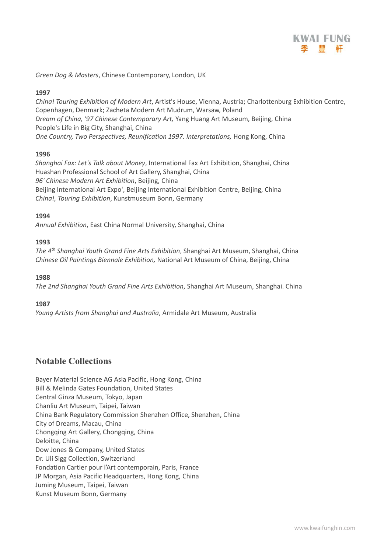

*Green Dog & Masters*, Chinese Contemporary, London, UK

#### **1997**

*China! Touring Exhibition of Modern Art*, Artist's House, Vienna, Austria; Charlottenburg Exhibition Centre, Copenhagen, Denmark; Zacheta Modern Art Mudrum, Warsaw, Poland *Dream of China, '97 Chinese Contemporary Art,* Yang Huang Art Museum, Beijing, China People's Life in Big City, Shanghai, China *One Country, Two Perspectives, Reunification 1997. Interpretations,* Hong Kong, China

#### **1996**

*Shanghai Fax: Let's Talk about Money*, International Fax Art Exhibition, Shanghai, China Huashan Professional School of Art Gallery, Shanghai, China *96' Chinese Modern Art Exhibition*, Beijing, China Beijing International Art Expo', Beijing International Exhibition Centre, Beijing, China *China!, Touring Exhibition*, Kunstmuseum Bonn, Germany

#### **1994**

*Annual Exhibition*, East China Normal University, Shanghai, China

#### **1993**

*The 4 th Shanghai Youth Grand Fine Arts Exhibition*, Shanghai Art Museum, Shanghai, China *Chinese Oil Paintings Biennale Exhibition,* National Art Museum of China, Beijing, China

#### **1988**

*The 2nd Shanghai Youth Grand Fine Arts Exhibition*, Shanghai Art Museum, Shanghai. China

#### **1987**

*Young Artists from Shanghai and Australia*, Armidale Art Museum, Australia

# **Notable Collections**

Bayer Material Science AG Asia Pacific, Hong Kong, China Bill & Melinda Gates Foundation, United States Central Ginza Museum, Tokyo, Japan Chanliu Art Museum, Taipei, Taiwan China Bank Regulatory Commission Shenzhen Office, Shenzhen, China City of Dreams, Macau, China Chongqing Art Gallery, Chongqing, China Deloitte, China Dow Jones & Company, United States Dr. Uli Sigg Collection, Switzerland Fondation Cartier pour l'Art contemporain, Paris, France JP Morgan, Asia Pacific Headquarters, Hong Kong, China Juming Museum, Taipei, Taiwan Kunst Museum Bonn, Germany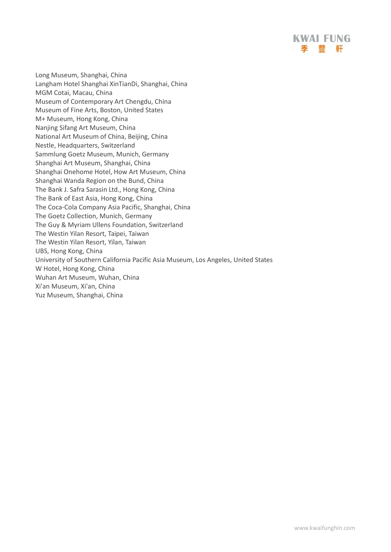Long Museum, Shanghai, China Langham Hotel Shanghai XinTianDi, Shanghai, China MGM Cotai, Macau, China Museum of Contemporary Art Chengdu, China Museum of Fine Arts, Boston, United States M+ Museum, Hong Kong, China Nanjing Sifang Art Museum, China National Art Museum of China, Beijing, China Nestle, Headquarters, Switzerland Sammlung Goetz Museum, Munich, Germany Shanghai Art Museum, Shanghai, China Shanghai Onehome Hotel, How Art Museum, China Shanghai Wanda Region on the Bund, China The Bank J. Safra Sarasin Ltd., Hong Kong, China The Bank of East Asia, Hong Kong, China The Coca-Cola Company Asia Pacific, Shanghai, China The Goetz Collection, Munich, Germany The Guy & Myriam Ullens Foundation, Switzerland The Westin Yilan Resort, Taipei, Taiwan The Westin Yilan Resort, Yilan, Taiwan UBS, Hong Kong, China University of Southern California Pacific Asia Museum, Los Angeles, United States W Hotel, Hong Kong, China Wuhan Art Museum, Wuhan, China Xi'an Museum, Xi'an, China Yuz Museum, Shanghai, China

**KWAI FUNG** 季 豐 軒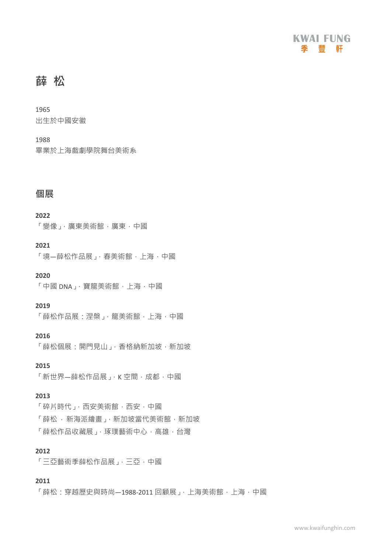

# **薛 松**

1965 出生於中國安徽

#### 1988

畢業於上海戲劇學院舞台美術系

# **個展**

#### **2022**

「變像」,廣東美術館,廣東,中國

#### **2021**

「境—薛松作品展」, 春美術館, 上海, 中國

**2020**

「中國 DNA」,寶龍美術館,上海,中國

#### **2019**

「薛松作品展:涅槃」,龍美術館,上海,中國

#### **2016**

「薛松個展:開門見山」,香格納新加坡,新加坡

**2015** 

「新世界—薛松作品展」, K 空間, 成都, 中國

#### **2013**

「碎片時代」,西安美術館,西安,中國 「薛松 · 新海派繪畫」, 新加坡當代美術館, 新加坡 「薛松作品收藏展」,琢璞藝術中心,高雄,台灣

#### **2012**

「三亞藝術季薛松作品展」,三亞,中國

#### **2011**

「薛松·穿越歷史與時尚—1988-2011 回顧展」, 上海美術館, 上海, 中國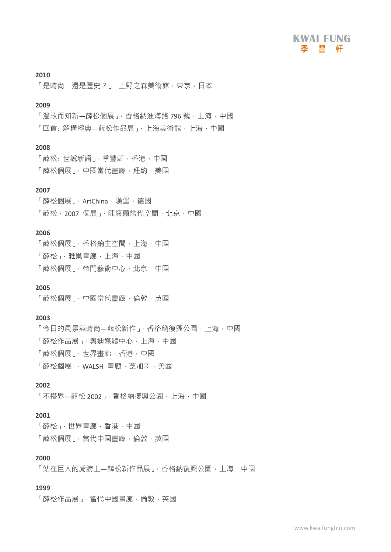

#### **2010**

「是時尚,還是歷史?」,上野之森美術館,東京,日本

#### **2009**

「溫故而知新—薛松個展」,香格納淮海路 796 號, 上海, 中國 「回首: 解構經典–薛松作品展」, 上海美術館, 上海, 中國

#### **2008**

「薛松: 世說新語」,季豐軒,香港,中國 「薛松個展」,中國當代書廊,紐約,美國

#### **2007**

「薛松個展」, ArtChina, 漢堡, 德國 「薛松,2007個展」,陳綾蕙當代空間,北京,中國

#### **2006**

「薛松個展」,香格納主空間,上海,中國 「薛松」,雅巢畫廊,上海,中國 「薛松個展」,帝門藝術中心,北京,中國

#### **2005**

「薛松個展」,中國當代畫廊,倫敦,英國

#### **2003**

「今日的風景與時尚—薛松新作」,香格納復興公園,上海,中國 「薛松作品展」,奧迪媒體中心,上海,中國 「薛松個展」,世界畫廊,香港,中國 「薛松個展」, WALSH 書廊, 芝加哥, 美國

#### **2002**

「不搭界—薛松 2002」, 香格納復興公園, 上海, 中國

#### **2001**

「薛松」,世界畫廊,香港,中國 「薛松個展」,當代中國畫廊,倫敦,英國

#### **2000**

「站在巨人的肩膀上—薛松新作品展」,香格納復興公園,上海,中國

#### **1999**

「薛松作品展」,當代中國書廊,倫敦,英國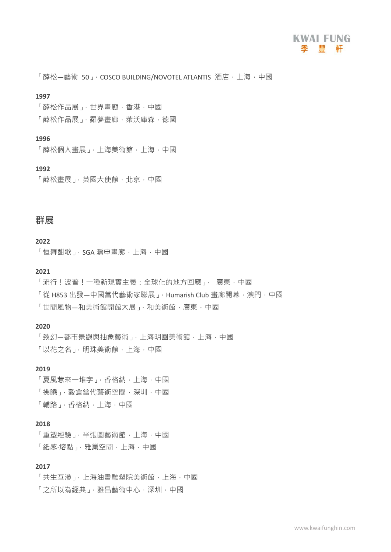「薛松—藝術 50」, COSCO BUILDING/NOVOTEL ATLANTIS 酒店, 上海, 中國

#### **1997**

「薛松作品展」,世界畫廊,香港,中國

「薛松作品展」,羅夢書廊,萊沃庫森,德國

#### **1996**

「薛松個人畫展」,上海美術館,上海,中國

#### **1992**

「薛松書展」,英國大使館,北京,中國

# **群展**

#### **2022**

「恒舞酣歌」, SGA 滬申書廊, 上海, 中國

#### **2021**

「流行!波普!一種新現實主義:全球化的地方回應」, 廣東,中國

「從 H853 出發—中國當代藝術家聯展」, Humarish Club 書廊開幕,澳門,中國

「世間風物—和美術館開館大展」,和美術館,廣東,中國

#### **2020**

「致幻—都市景觀與抽象藝術」,上海明圓美術館,上海,中國 「以花之名」, 明珠美術館, 上海, 中國

#### **2019**

「夏風惹來一堆字」,香格納,上海,中國 「拂曉」, 穀倉當代藝術空間, 深圳, 中國

「輔路」,香格納,上海,中國

#### **2018**

「重塑經驗」,半張圖藝術館,上海,中國 「紙感·熔點」,雅巢空間,上海,中國

#### **2017**

「共生互滲」,上海油畫雕塑院美術館,上海,中國 「之所以為經典」,雅昌藝術中心,深圳,中國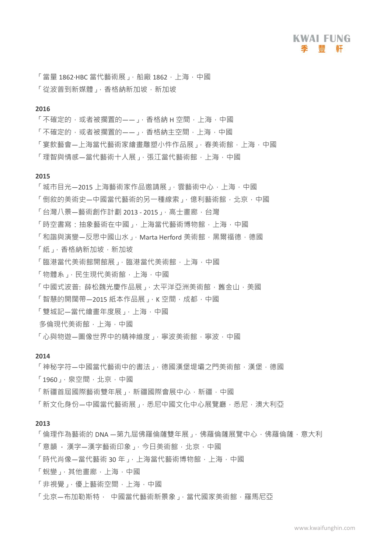「當量 1862·HBC 當代藝術展」, 船廠 1862, 上海, 中國 「從波普到新媒體」,香格納新加坡,新加坡

#### **2016**

- 「不確定的,或者被擱置的——」,香格納 H 空間, 上海, 中國
- 「不確定的,或者被擱置的——」,香格納主空間,上海,中國
- 「宴飲藝會—上海當代藝術家繪畫雕塑小件作品展」,春美術館,上海,中國

「理智與情感—當代藝術十人展」,張汀當代藝術館,上海,中國

#### **2015**

「城市目光—2015 上海藝術家作品邀請展」,雲藝術中心,上海,中國 「倒敘的美術史—中國當代藝術的另一種線索」,億利藝術館,北京,中國 「台灣八景—藝術創作計劃 2013 - 2015 」, 高十書廊, 台灣 「時空書寫:抽象藝術在中國」,上海當代藝術博物館,上海,中國 「和諧與演變—反思中國山水」, Marta Herford 美術館, 黑爾福德, 德國 「紙」,香格納新加坡,新加坡 「臨港當代美術館,」。「臨港當代美術館,上海,中國 「物體系」,民生現代美術館,上海,中國 「中國式波普: 薛松魏光慶作品展」,太平洋亞洲美術館,舊金山,美國 「智慧的開闊帶-2015 紙本作品展」, K 空間, 成都, 中國 「雙城記—當代繪畫年度展」,上海,中國 多倫現代美術館,上海,中國 「心與物游—圖像世界中的精神維度」,寧波美術館,寧波,中國

#### **2014**

「神秘字符—中國當代藝術中的書法」, 德國漢堡堤壩之門美術館, 漢堡, 德國

- 「1960」,泉空間,北京,中國
- 「新疆首屆國際藝術雙年展」,新疆國際會展中心,新疆,中國
- 「新文化身份—中國當代藝術展」,悉尼中國文化中心展覽廳,悉尼,澳大利亞

#### **2013**

- 「倫理作為藝術的 DNA —第九屆佛羅倫薩雙年展」, 佛羅倫薩展覽中心, 佛羅倫薩, 意大利
- 「意韻 漢字—漢字藝術印象 □ 今日美術館, 北京, 中國
- 「時代肖像—當代藝術 30年」,上海當代藝術博物館,上海,中國
- 「蛻變」,其他畫廊,上海,中國
- 「非視覺」,優上藝術空間,上海,中國
- 「北京—布加勒斯特, 中國當代藝術新景象」,當代國家美術館,羅馬尼亞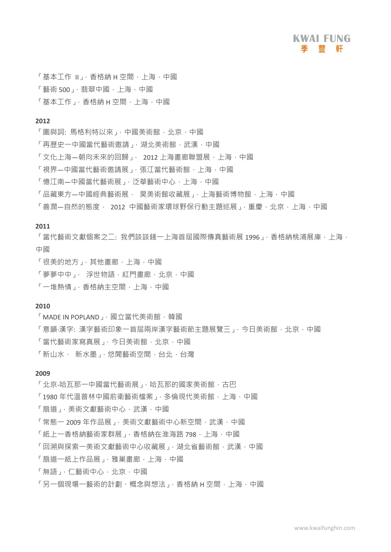

「基本工作 II」,香格納 H 空間,上海,中國

- 「藝術 500」,翡翠中國,上海,中國
- 「基本工作」,香格納 H 空間,上海,中國

#### **2012**

- 「圖與詞:馬格利特以來」,中國美術館,北京,中國
- 「再歷史一中國當代藝術邀請」,湖北美術館,武漢,中國
- 「文化上海—朝向未來的回歸」, 2012 上海書廊聯盟展,上海,中國
- 「視界—中國當代藝術激請展」,張汀當代藝術館,上海,中國
- 「憶江南—中國當代藝術展」,泛華藝術中心,上海,中國
- 「品藏東方—中國經典藝術展, 昊美術館收藏展」,上海藝術博物館,上海,中國
- 「善潤—自然的態度, 2012 中國藝術家環球野保行動主題巡展」,重慶,北京,上海,中國

#### **2011**

「當代藝術文獻個案之二:我們談談錢一上海首屆國際傳真藝術展 1996」, 香格納桃浦展庫, 上海, 中國

- 「很美的地方」,其他畫廊,上海,中國
- 「夢夢中中」, 浮世物語,紅門書廊,北京,中國
- 「一堆熱情」,香格納主空間,上海,中國

#### **2010**

- 「MADE IN POPLAND」,國立當代美術館,韓國
- 「意韻·漢字: 漢字藝術印象一首屆兩岸漢字藝術節主題展覽三」,今日美術館,北京,中國
- 「當代藝術家寫真展」,今日美術館,北京,中國
- 「新山水, 新水墨」,悠閒藝術空間,台北,台灣

#### **2009**

- 「北京-哈瓦那一中國當代藝術展」,哈瓦那的國家美術館,古巴
- 「1980年代溫普林中國前衛藝術檔案」,多倫現代美術館,上海,中國
- 「扇道」,美術文獻藝術中心,武漢,中國
- 「常態一 2009 年作品展」, 美術文獻藝術中心新空間, 武漢, 中國
- 「紙上一香格納藝術家群展」,香格納在淮海路 798, 上海, 中國
- 「回溯與探索一美術文獻藝術中心收藏展」,湖北省藝術館,武漢,中國
- 「扇道一紙上作品展」,雅巢畫廊,上海,中國
- 「無語」,仁藝術中心,北京,中國
- 「另一個現場一藝術的計劃、概念與想法」,香格納 H 空間, 上海, 中國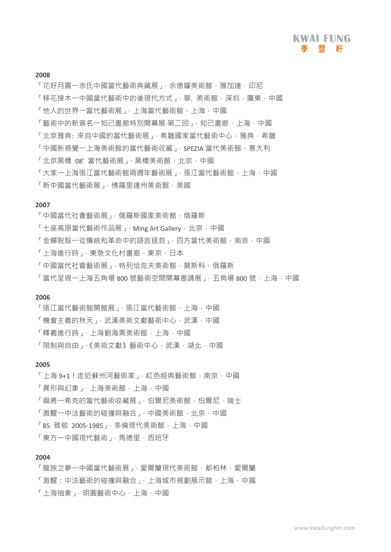#### **2008**

- 「花好月圓一余氏中國當代藝術典藏展」,余德耀美術館,雅加達,印尼
- 「移花接木一中國當代藝術中的後現代方式」,華.美術館,深圳,廣東,中國
- 「他人的世界一當代藝術展」,上海當代藝術館,上海,中國
- 「藝術中的新簽名一知己書廊特別開幕展‧第一回」,知己書廊,上海,中國
- 「北京雅典: 來自中國的當代藝術展」,希臘國家當代藝術中心,雅典,希臘
- 「中國新視覺一上海美術館的當代藝術收藏」, SPEZIA 當代美術館, 意大利
- 「北京黑橋 08' 當代藝術展」, 黑橋美術館, 北京, 中國
- 「大家一上海張汀當代藝術館兩週年藝術展」,張汀當代藝術館,上海,中國
- 「新中國當代藝術展」,佛羅里達州美術館,美國

#### **2007**

- 「中國當代社會藝術展」,俄羅斯國家美術館,俄羅斯
- 「十座高原當代藝術作品展」, Ming Art Gallery, 北京, 中國
- 「金蟬脫殼一從傳統和革命中的語言拯救」,四方當代美術館,南京,中國
- 「上海進行時」, 東急文化村書廊, 東京, 日本
- 「中國當代社會藝術展」, 特列恰克夫美術館, 莫斯科, 俄羅斯
- 「當代呈現一上海五角場 800 號藝術空間開幕激請展」, 五角場 800 號, 上海, 中國

#### **2006**

- 「張江當代藝術館開館展」,張江當代藝術館,上海,中國
- 「機會主義的秋天」,武漢美術文獻藝術中心,武漢,中國
- 「釋義進行時」,上海劉海粟美術館,上海,中國
- 「限制與自由」,《美術文獻》藝術中心,武漢,湖北,中國

#### **2005**

- 「上海 9+1!走近蘇州河藝術家」,紅色經典藝術館,南京,中國
- 「異形與幻象」,上海美術館,上海,中國
- 「麻將一希克的當代藝術收藏展」,伯爾尼美術館,伯爾尼,瑞士
- 「激醒一中法藝術的碰撞與融合」,中國美術館,北京,中國
- 「85 致敬 2005-1985」,多倫現代美術館,上海,中國
- 「東方一中國現代藝術」,馬德里,西班牙

#### **2004**

「龍族之夢一中國當代藝術展」,愛爾蘭現代美術館,都柏林,愛爾蘭 「激醒:中法藝術的碰撞與融合」,上海城市規劃展示館,上海,中國 「上海抽象」,明圓藝術中心,上海,中國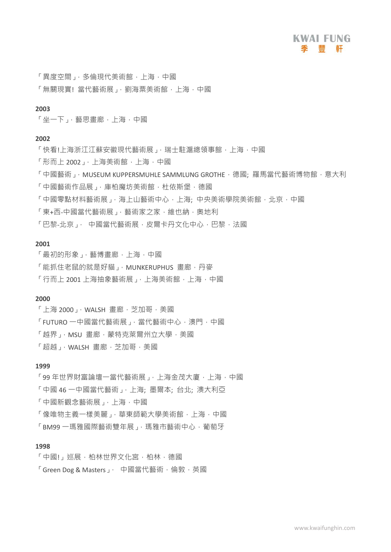「異度空間」,多倫現代美術館,上海,中國

「無關現實!當代藝術展」,劉海粟美術館,上海,中國

#### **2003**

「坐一下」,藝思畫廊,上海,中國

#### **2002**

- 「快看!上海浙江江蘇安徽現代藝術展」,瑞士駐滬總領事館,上海,中國
- 「形而上 2002」,上海美術館,上海,中國
- 「中國藝術」, MUSEUM KUPPERSMUHLE SAMMLUNG GROTHE, 德國; 羅馬當代藝術博物館, 意大利
- 「中國藝術作品展」,庫柏魔坊美術館,杜依斯堡,德國
- 「中國零點材料藝術展」, 海上山藝術中心, 上海; 中央美術學院美術館, 北京, 中國
- 「東+西-中國當代藝術展」,藝術家之家,維也納,奧地利
- 「巴黎-北京」, 中國當代藝術展,皮爾卡丹文化中心,巴黎,法國

#### **2001**

- 「最初的形象」,藝博畫廊,上海,中國
- 「能抓住老鼠的就是好貓」, MUNKERUPHUS 書廊, 丹麥
- 「行而上 2001 上海抽象藝術展」,上海美術館,上海,中國

#### **2000**

- $\lceil \frac{1}{2} \rceil$  2000」, WALSH 畫廊, 芝加哥, 美國
- 「FUTURO 一中國當代藝術展」,當代藝術中心, 澳門, 中國
- 「越界」,MSU 畫廊,蒙特克萊爾州立大學,美國
- 「超越」, WALSH 書廊, 芝加哥, 美國

#### **1999**

「99年世界財富論壇一當代藝術展」,上海金茂大廈,上海,中國

- 「中國 46 一中國當代藝術」,上海; 墨爾本; 台北; 澳大利亞
- 「中國新觀念藝術展」,上海,中國
- 「像唯物主義一樣美麗」,華東師範大學美術館,上海,中國
- 「BM99 一瑪雅國際藝術雙年展」,瑪雅市藝術中心,葡萄牙

#### **1998**

- 「中國!」巡展,柏林世界文化宮,柏林,德國
- 「Green Dog & Masters」, 中國當代藝術, 倫敦, 英國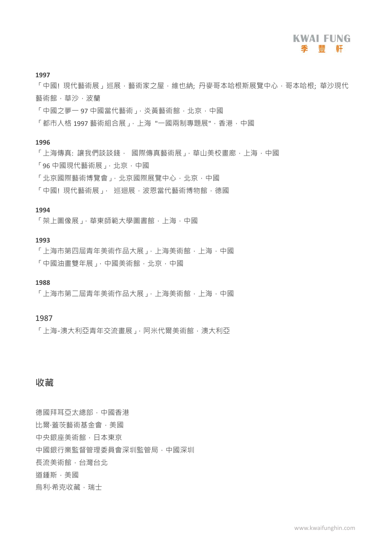#### **1997**

「中國!現代藝術展」巡展,藝術家之屋,維也納;丹麥哥本哈根斯展覽中心,哥本哈根:華沙現代 藝術館,華沙,波蘭

- 「中國之夢一 97 中國當代藝術」,炎黃藝術館,北京,中國
- 「都市人格 1997 藝術組合展」,上海 "一國兩制專題展",香港,中國

#### **1996**

- 「上海傳真:讓我們談談錢, 國際傳真藝術展」,華山美校書廊,上海,中國
- 「96 中國現代藝術展」,北京,中國
- 「北京國際藝術博覽會」,北京國際展覽中心,北京,中國
- 「中國!現代藝術展」, 巡迴展,波恩當代藝術博物館,德國

#### **1994**

「架上圖像展」,華東師範大學圖書館,上海,中國

#### **1993**

「上海市第四屆青年美術作品大展」,上海美術館,上海,中國 「中國油畫雙年展」,中國美術館,北京,中國

#### **1988**

「上海市第二屆青年美術作品大展」,上海美術館,上海,中國

#### **1987**

「上海-澳大利亞青年交流書展」, 阿米代爾美術館, 澳大利亞

### **收藏**

德國拜耳亞太總部,中國香港 比爾·蓋茨藝術基金會,美國 中央銀座美術館,日本東京 中國銀行業監督管理委員會深圳監管局,中國深圳 長流美術館,台灣台北 道鍾斯,美國 烏利·希克收藏,瑞士